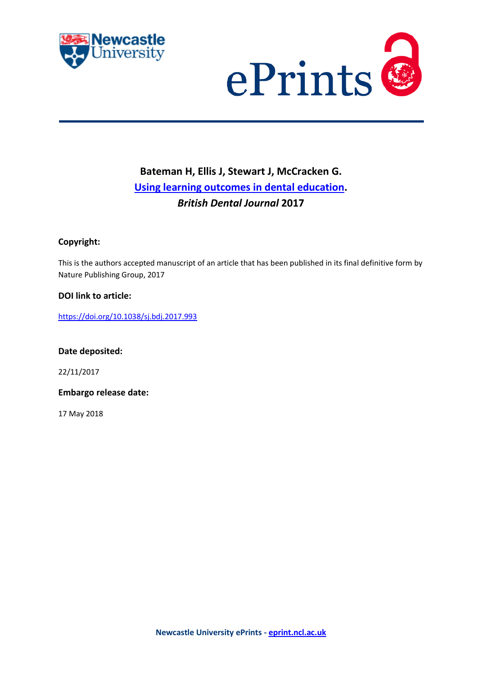



# **Bateman H, Ellis J, Stewart J, McCracken G. [Using learning outcomes in dental education.](https://myimpact.ncl.ac.uk/ViewPublication.aspx?id=243168)** *British Dental Journal* **2017**

# **Copyright:**

This is the authors accepted manuscript of an article that has been published in its final definitive form by Nature Publishing Group, 2017

# **DOI link to article:**

<https://doi.org/10.1038/sj.bdj.2017.993>

**Date deposited:** 

22/11/2017

**Embargo release date:**

17 May 2018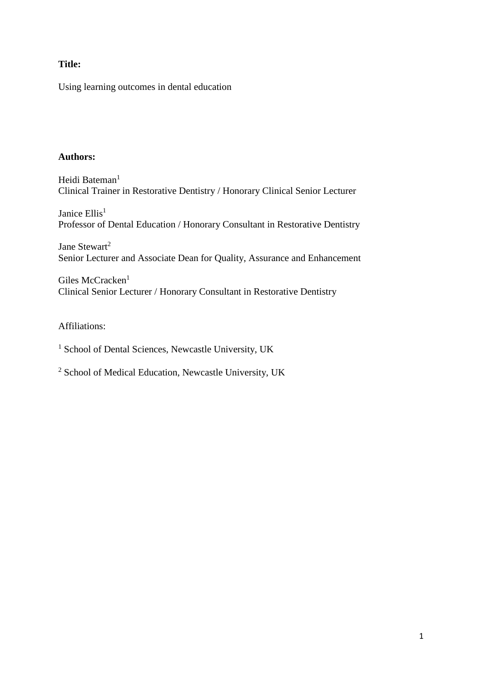# **Title:**

Using learning outcomes in dental education

# **Authors:**

Heidi Bateman<sup>1</sup> Clinical Trainer in Restorative Dentistry / Honorary Clinical Senior Lecturer

Janice Ellis<sup>1</sup> Professor of Dental Education / Honorary Consultant in Restorative Dentistry

Jane Stewart<sup>2</sup> Senior Lecturer and Associate Dean for Quality, Assurance and Enhancement

Giles McCracken<sup>1</sup> Clinical Senior Lecturer / Honorary Consultant in Restorative Dentistry

Affiliations:

<sup>1</sup> School of Dental Sciences, Newcastle University, UK

<sup>2</sup> School of Medical Education, Newcastle University, UK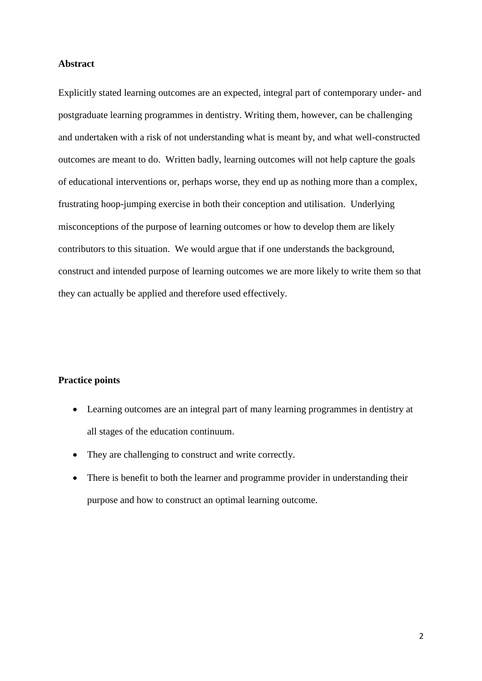#### **Abstract**

Explicitly stated learning outcomes are an expected, integral part of contemporary under- and postgraduate learning programmes in dentistry. Writing them, however, can be challenging and undertaken with a risk of not understanding what is meant by, and what well-constructed outcomes are meant to do. Written badly, learning outcomes will not help capture the goals of educational interventions or, perhaps worse, they end up as nothing more than a complex, frustrating hoop-jumping exercise in both their conception and utilisation. Underlying misconceptions of the purpose of learning outcomes or how to develop them are likely contributors to this situation. We would argue that if one understands the background, construct and intended purpose of learning outcomes we are more likely to write them so that they can actually be applied and therefore used effectively.

#### **Practice points**

- Learning outcomes are an integral part of many learning programmes in dentistry at all stages of the education continuum.
- They are challenging to construct and write correctly.
- There is benefit to both the learner and programme provider in understanding their purpose and how to construct an optimal learning outcome.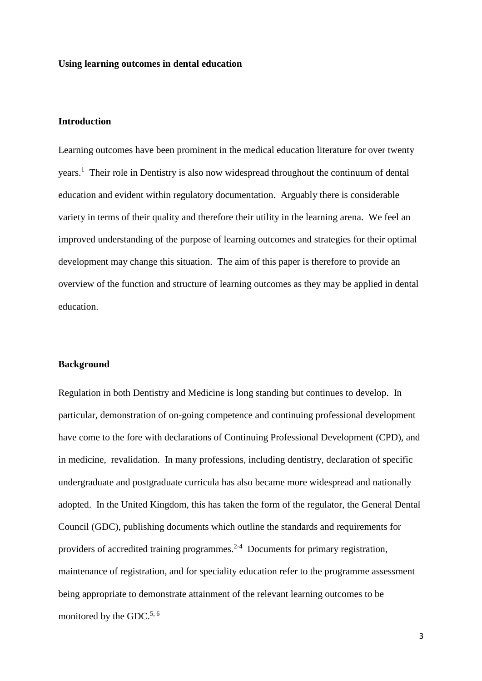#### **Using learning outcomes in dental education**

### **Introduction**

Learning outcomes have been prominent in the medical education literature for over twenty years.<sup>1</sup> Their role in Dentistry is also now widespread throughout the continuum of dental education and evident within regulatory documentation. Arguably there is considerable variety in terms of their quality and therefore their utility in the learning arena. We feel an improved understanding of the purpose of learning outcomes and strategies for their optimal development may change this situation. The aim of this paper is therefore to provide an overview of the function and structure of learning outcomes as they may be applied in dental education.

#### **Background**

Regulation in both Dentistry and Medicine is long standing but continues to develop. In particular, demonstration of on-going competence and continuing professional development have come to the fore with declarations of Continuing Professional Development (CPD), and in medicine, revalidation. In many professions, including dentistry, declaration of specific undergraduate and postgraduate curricula has also became more widespread and nationally adopted. In the United Kingdom, this has taken the form of the regulator, the General Dental Council (GDC), publishing documents which outline the standards and requirements for providers of accredited training programmes.<sup>2-4</sup> Documents for primary registration, maintenance of registration, and for speciality education refer to the programme assessment being appropriate to demonstrate attainment of the relevant learning outcomes to be monitored by the GDC.<sup>5, 6</sup>

3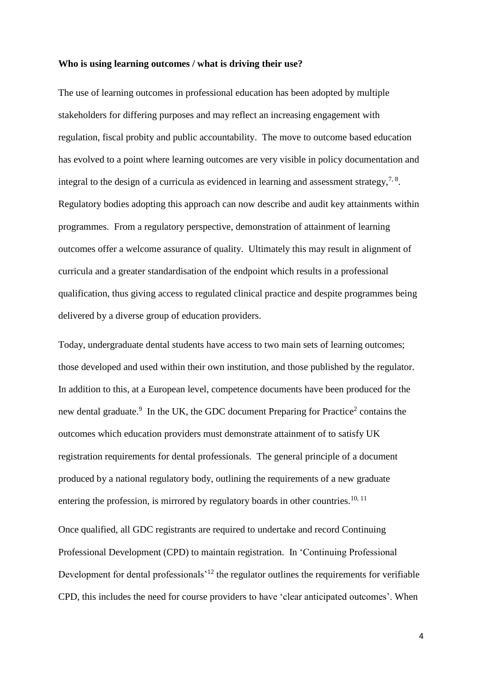#### **Who is using learning outcomes / what is driving their use?**

The use of learning outcomes in professional education has been adopted by multiple stakeholders for differing purposes and may reflect an increasing engagement with regulation, fiscal probity and public accountability. The move to outcome based education has evolved to a point where learning outcomes are very visible in policy documentation and integral to the design of a curricula as evidenced in learning and assessment strategy,  $7\degree$ . Regulatory bodies adopting this approach can now describe and audit key attainments within programmes. From a regulatory perspective, demonstration of attainment of learning outcomes offer a welcome assurance of quality. Ultimately this may result in alignment of curricula and a greater standardisation of the endpoint which results in a professional qualification, thus giving access to regulated clinical practice and despite programmes being delivered by a diverse group of education providers.

Today, undergraduate dental students have access to two main sets of learning outcomes; those developed and used within their own institution, and those published by the regulator. In addition to this, at a European level, competence documents have been produced for the new dental graduate.<sup>9</sup> In the UK, the GDC document Preparing for Practice<sup>2</sup> contains the outcomes which education providers must demonstrate attainment of to satisfy UK registration requirements for dental professionals. The general principle of a document produced by a national regulatory body, outlining the requirements of a new graduate entering the profession, is mirrored by regulatory boards in other countries.<sup>10, 11</sup>

Once qualified, all GDC registrants are required to undertake and record Continuing Professional Development (CPD) to maintain registration. In 'Continuing Professional Development for dental professionals<sup> $12$ </sup> the regulator outlines the requirements for verifiable CPD, this includes the need for course providers to have 'clear anticipated outcomes'. When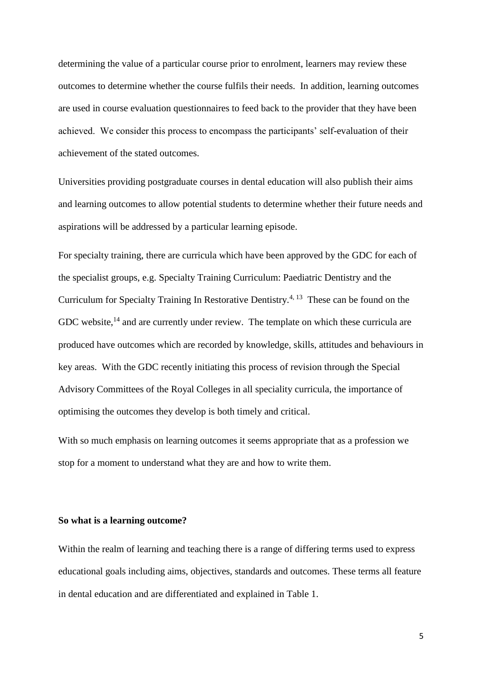determining the value of a particular course prior to enrolment, learners may review these outcomes to determine whether the course fulfils their needs. In addition, learning outcomes are used in course evaluation questionnaires to feed back to the provider that they have been achieved. We consider this process to encompass the participants' self-evaluation of their achievement of the stated outcomes.

Universities providing postgraduate courses in dental education will also publish their aims and learning outcomes to allow potential students to determine whether their future needs and aspirations will be addressed by a particular learning episode.

For specialty training, there are curricula which have been approved by the GDC for each of the specialist groups, e.g. Specialty Training Curriculum: Paediatric Dentistry and the Curriculum for Specialty Training In Restorative Dentistry.<sup>4, 13</sup> These can be found on the GDC website, $^{14}$  and are currently under review. The template on which these curricula are produced have outcomes which are recorded by knowledge, skills, attitudes and behaviours in key areas. With the GDC recently initiating this process of revision through the Special Advisory Committees of the Royal Colleges in all speciality curricula, the importance of optimising the outcomes they develop is both timely and critical.

With so much emphasis on learning outcomes it seems appropriate that as a profession we stop for a moment to understand what they are and how to write them.

#### **So what is a learning outcome?**

Within the realm of learning and teaching there is a range of differing terms used to express educational goals including aims, objectives, standards and outcomes. These terms all feature in dental education and are differentiated and explained in Table 1.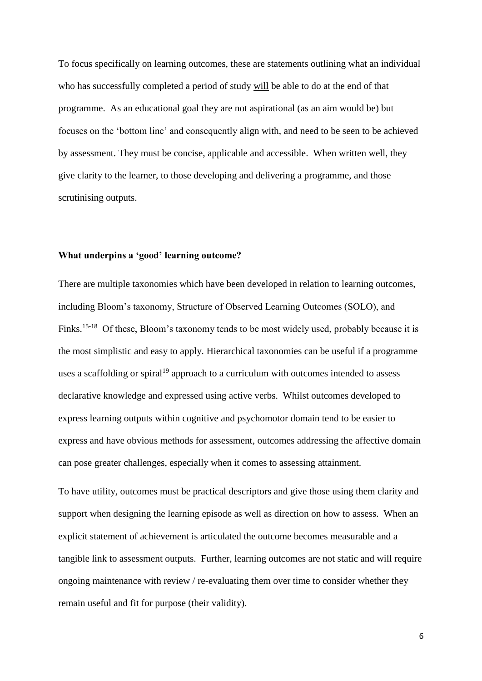To focus specifically on learning outcomes, these are statements outlining what an individual who has successfully completed a period of study will be able to do at the end of that programme. As an educational goal they are not aspirational (as an aim would be) but focuses on the 'bottom line' and consequently align with, and need to be seen to be achieved by assessment. They must be concise, applicable and accessible. When written well, they give clarity to the learner, to those developing and delivering a programme, and those scrutinising outputs.

#### **What underpins a 'good' learning outcome?**

There are multiple taxonomies which have been developed in relation to learning outcomes, including Bloom's taxonomy, Structure of Observed Learning Outcomes (SOLO), and Finks.<sup>15-18</sup> Of these, Bloom's taxonomy tends to be most widely used, probably because it is the most simplistic and easy to apply. Hierarchical taxonomies can be useful if a programme uses a scaffolding or spiral<sup>19</sup> approach to a curriculum with outcomes intended to assess declarative knowledge and expressed using active verbs. Whilst outcomes developed to express learning outputs within cognitive and psychomotor domain tend to be easier to express and have obvious methods for assessment, outcomes addressing the affective domain can pose greater challenges, especially when it comes to assessing attainment.

To have utility, outcomes must be practical descriptors and give those using them clarity and support when designing the learning episode as well as direction on how to assess. When an explicit statement of achievement is articulated the outcome becomes measurable and a tangible link to assessment outputs. Further, learning outcomes are not static and will require ongoing maintenance with review / re-evaluating them over time to consider whether they remain useful and fit for purpose (their validity).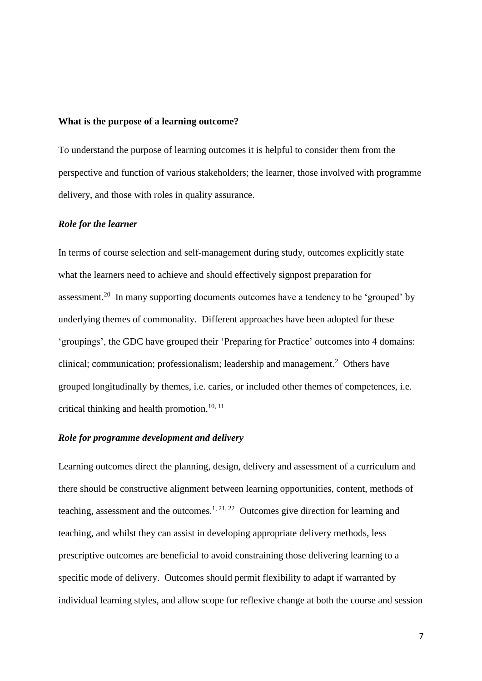#### **What is the purpose of a learning outcome?**

To understand the purpose of learning outcomes it is helpful to consider them from the perspective and function of various stakeholders; the learner, those involved with programme delivery, and those with roles in quality assurance.

#### *Role for the learner*

In terms of course selection and self-management during study, outcomes explicitly state what the learners need to achieve and should effectively signpost preparation for assessment.<sup>20</sup> In many supporting documents outcomes have a tendency to be 'grouped' by underlying themes of commonality. Different approaches have been adopted for these 'groupings', the GDC have grouped their 'Preparing for Practice' outcomes into 4 domains: clinical; communication; professionalism; leadership and management.<sup>2</sup> Others have grouped longitudinally by themes, i.e. caries, or included other themes of competences, i.e. critical thinking and health promotion.<sup>10, 11</sup>

#### *Role for programme development and delivery*

Learning outcomes direct the planning, design, delivery and assessment of a curriculum and there should be constructive alignment between learning opportunities, content, methods of teaching, assessment and the outcomes.<sup>1, 21, 22</sup> Outcomes give direction for learning and teaching, and whilst they can assist in developing appropriate delivery methods, less prescriptive outcomes are beneficial to avoid constraining those delivering learning to a specific mode of delivery. Outcomes should permit flexibility to adapt if warranted by individual learning styles, and allow scope for reflexive change at both the course and session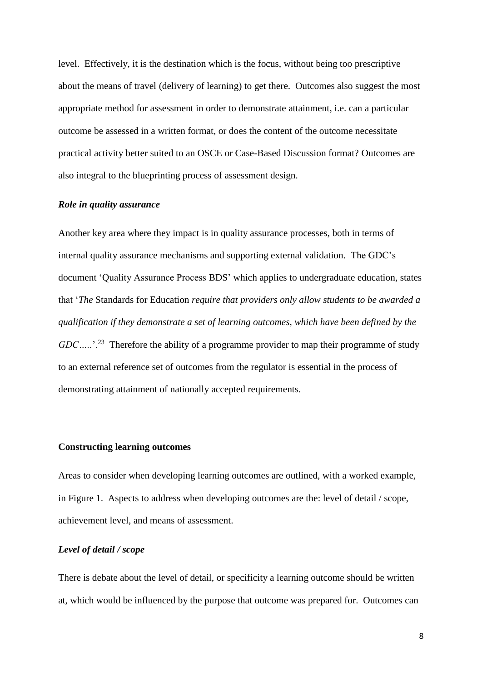level. Effectively, it is the destination which is the focus, without being too prescriptive about the means of travel (delivery of learning) to get there. Outcomes also suggest the most appropriate method for assessment in order to demonstrate attainment, i.e. can a particular outcome be assessed in a written format, or does the content of the outcome necessitate practical activity better suited to an OSCE or Case-Based Discussion format? Outcomes are also integral to the blueprinting process of assessment design.

#### *Role in quality assurance*

Another key area where they impact is in quality assurance processes, both in terms of internal quality assurance mechanisms and supporting external validation. The GDC's document 'Quality Assurance Process BDS' which applies to undergraduate education, states that '*The* Standards for Education *require that providers only allow students to be awarded a qualification if they demonstrate a set of learning outcomes, which have been defined by the*  GDC.....<sup>'.23</sup> Therefore the ability of a programme provider to map their programme of study to an external reference set of outcomes from the regulator is essential in the process of demonstrating attainment of nationally accepted requirements.

#### **Constructing learning outcomes**

Areas to consider when developing learning outcomes are outlined, with a worked example, in Figure 1. Aspects to address when developing outcomes are the: level of detail / scope, achievement level, and means of assessment.

#### *Level of detail / scope*

There is debate about the level of detail, or specificity a learning outcome should be written at, which would be influenced by the purpose that outcome was prepared for. Outcomes can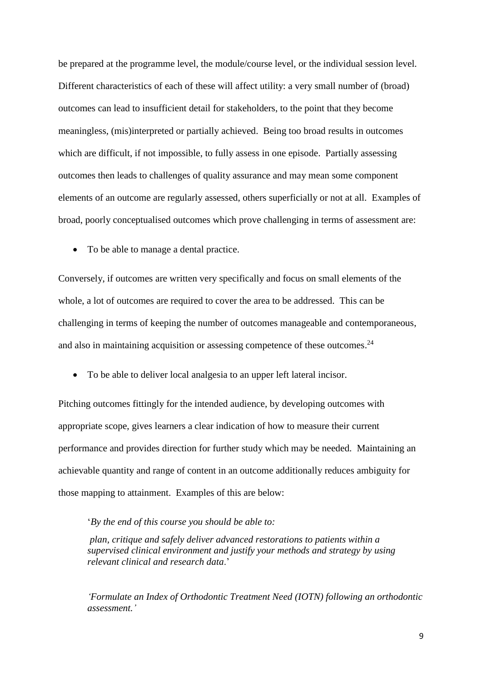be prepared at the programme level, the module/course level, or the individual session level. Different characteristics of each of these will affect utility: a very small number of (broad) outcomes can lead to insufficient detail for stakeholders, to the point that they become meaningless, (mis)interpreted or partially achieved. Being too broad results in outcomes which are difficult, if not impossible, to fully assess in one episode. Partially assessing outcomes then leads to challenges of quality assurance and may mean some component elements of an outcome are regularly assessed, others superficially or not at all. Examples of broad, poorly conceptualised outcomes which prove challenging in terms of assessment are:

• To be able to manage a dental practice.

Conversely, if outcomes are written very specifically and focus on small elements of the whole, a lot of outcomes are required to cover the area to be addressed. This can be challenging in terms of keeping the number of outcomes manageable and contemporaneous, and also in maintaining acquisition or assessing competence of these outcomes.<sup>24</sup>

To be able to deliver local analgesia to an upper left lateral incisor.

Pitching outcomes fittingly for the intended audience, by developing outcomes with appropriate scope, gives learners a clear indication of how to measure their current performance and provides direction for further study which may be needed. Maintaining an achievable quantity and range of content in an outcome additionally reduces ambiguity for those mapping to attainment. Examples of this are below:

#### '*By the end of this course you should be able to:*

*plan, critique and safely deliver advanced restorations to patients within a supervised clinical environment and justify your methods and strategy by using relevant clinical and research data*.'

*'Formulate an Index of Orthodontic Treatment Need (IOTN) following an orthodontic assessment.'*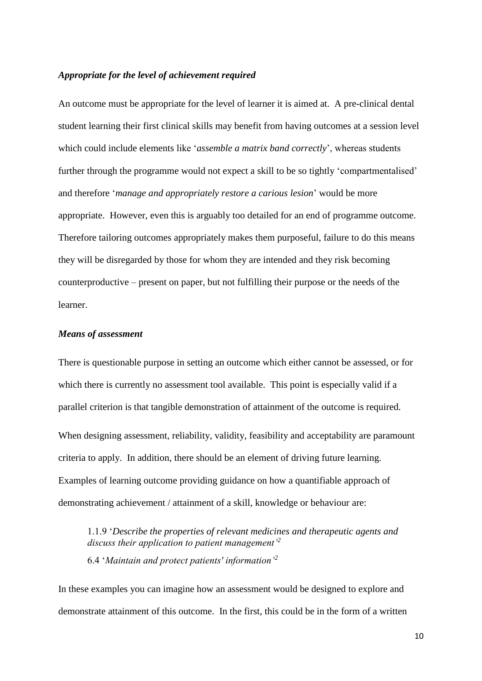#### *Appropriate for the level of achievement required*

An outcome must be appropriate for the level of learner it is aimed at. A pre-clinical dental student learning their first clinical skills may benefit from having outcomes at a session level which could include elements like '*assemble a matrix band correctly*', whereas students further through the programme would not expect a skill to be so tightly 'compartmentalised' and therefore '*manage and appropriately restore a carious lesion*' would be more appropriate. However, even this is arguably too detailed for an end of programme outcome. Therefore tailoring outcomes appropriately makes them purposeful, failure to do this means they will be disregarded by those for whom they are intended and they risk becoming counterproductive – present on paper, but not fulfilling their purpose or the needs of the learner.

#### *Means of assessment*

There is questionable purpose in setting an outcome which either cannot be assessed, or for which there is currently no assessment tool available. This point is especially valid if a parallel criterion is that tangible demonstration of attainment of the outcome is required.

When designing assessment, reliability, validity, feasibility and acceptability are paramount criteria to apply. In addition, there should be an element of driving future learning. Examples of learning outcome providing guidance on how a quantifiable approach of demonstrating achievement / attainment of a skill, knowledge or behaviour are:

1.1.9 '*Describe the properties of relevant medicines and therapeutic agents and discuss their application to patient management'<sup>2</sup>* 6.4 '*Maintain and protect patients' information'<sup>2</sup>*

In these examples you can imagine how an assessment would be designed to explore and demonstrate attainment of this outcome. In the first, this could be in the form of a written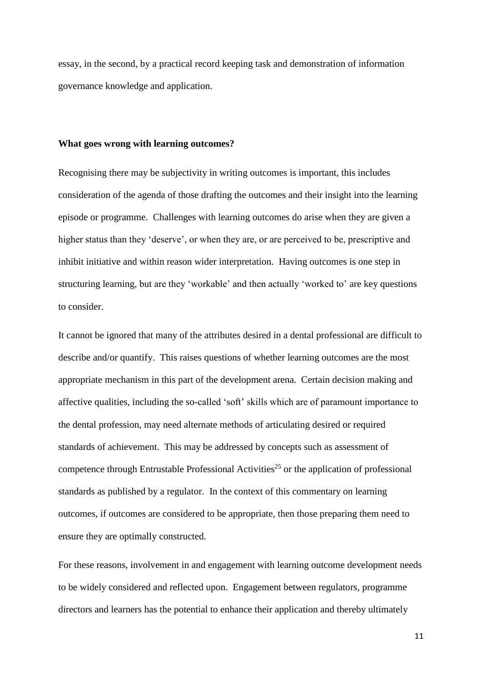essay, in the second, by a practical record keeping task and demonstration of information governance knowledge and application.

#### **What goes wrong with learning outcomes?**

Recognising there may be subjectivity in writing outcomes is important, this includes consideration of the agenda of those drafting the outcomes and their insight into the learning episode or programme. Challenges with learning outcomes do arise when they are given a higher status than they 'deserve', or when they are, or are perceived to be, prescriptive and inhibit initiative and within reason wider interpretation. Having outcomes is one step in structuring learning, but are they 'workable' and then actually 'worked to' are key questions to consider.

It cannot be ignored that many of the attributes desired in a dental professional are difficult to describe and/or quantify. This raises questions of whether learning outcomes are the most appropriate mechanism in this part of the development arena. Certain decision making and affective qualities, including the so-called 'soft' skills which are of paramount importance to the dental profession, may need alternate methods of articulating desired or required standards of achievement. This may be addressed by concepts such as assessment of competence through Entrustable Professional Activities<sup>25</sup> or the application of professional standards as published by a regulator. In the context of this commentary on learning outcomes, if outcomes are considered to be appropriate, then those preparing them need to ensure they are optimally constructed.

For these reasons, involvement in and engagement with learning outcome development needs to be widely considered and reflected upon. Engagement between regulators, programme directors and learners has the potential to enhance their application and thereby ultimately

11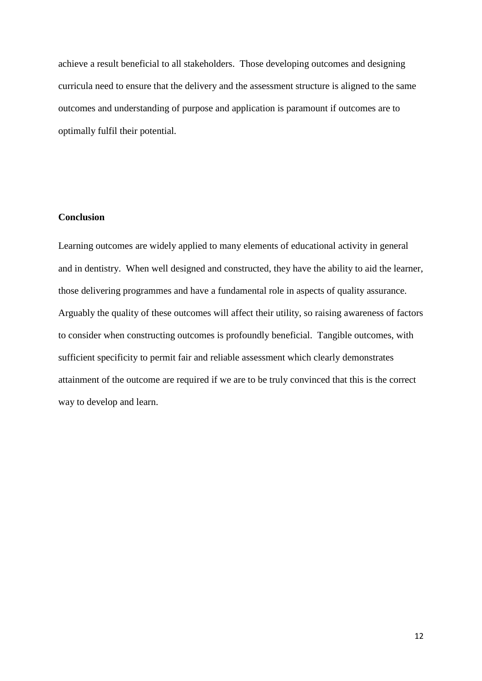achieve a result beneficial to all stakeholders. Those developing outcomes and designing curricula need to ensure that the delivery and the assessment structure is aligned to the same outcomes and understanding of purpose and application is paramount if outcomes are to optimally fulfil their potential.

# **Conclusion**

Learning outcomes are widely applied to many elements of educational activity in general and in dentistry. When well designed and constructed, they have the ability to aid the learner, those delivering programmes and have a fundamental role in aspects of quality assurance. Arguably the quality of these outcomes will affect their utility, so raising awareness of factors to consider when constructing outcomes is profoundly beneficial. Tangible outcomes, with sufficient specificity to permit fair and reliable assessment which clearly demonstrates attainment of the outcome are required if we are to be truly convinced that this is the correct way to develop and learn.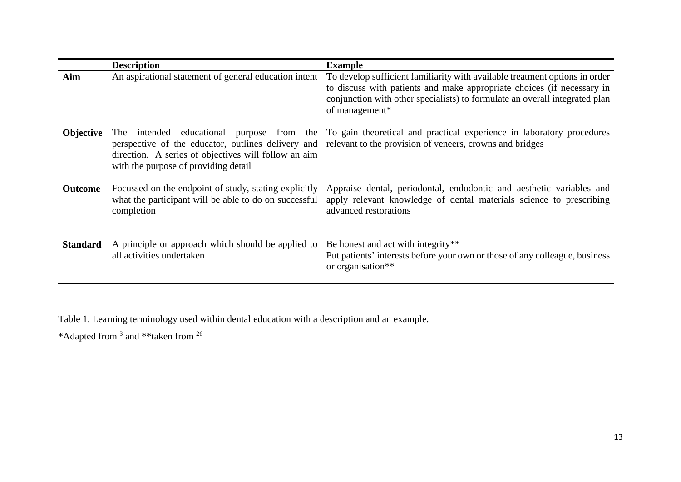|                  | <b>Description</b>                                                                                                           | <b>Example</b>                                                                                                                                                                                                                                         |
|------------------|------------------------------------------------------------------------------------------------------------------------------|--------------------------------------------------------------------------------------------------------------------------------------------------------------------------------------------------------------------------------------------------------|
| Aim              | An aspirational statement of general education intent                                                                        | To develop sufficient familiarity with available treatment options in order<br>to discuss with patients and make appropriate choices (if necessary in<br>conjunction with other specialists) to formulate an overall integrated plan<br>of management* |
| <b>Objective</b> | direction. A series of objectives will follow an aim<br>with the purpose of providing detail                                 | The intended educational purpose from the To gain theoretical and practical experience in laboratory procedures<br>perspective of the educator, outlines delivery and relevant to the provision of veneers, crowns and bridges                         |
| <b>Outcome</b>   | Focussed on the endpoint of study, stating explicitly<br>what the participant will be able to do on successful<br>completion | Appraise dental, periodontal, endodontic and aesthetic variables and<br>apply relevant knowledge of dental materials science to prescribing<br>advanced restorations                                                                                   |
| <b>Standard</b>  | A principle or approach which should be applied to<br>all activities undertaken                                              | Be honest and act with integrity**<br>Put patients' interests before your own or those of any colleague, business<br>or organisation**                                                                                                                 |

Table 1. Learning terminology used within dental education with a description and an example.

\*Adapted from <sup>3</sup> and \*\*taken from <sup>26</sup>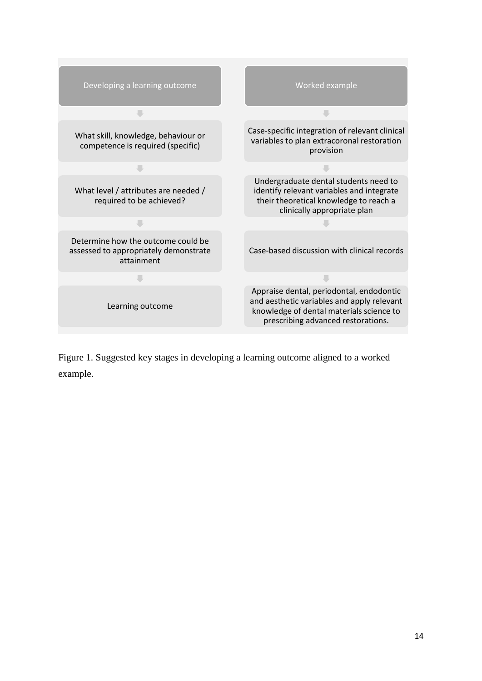

Figure 1. Suggested key stages in developing a learning outcome aligned to a worked example.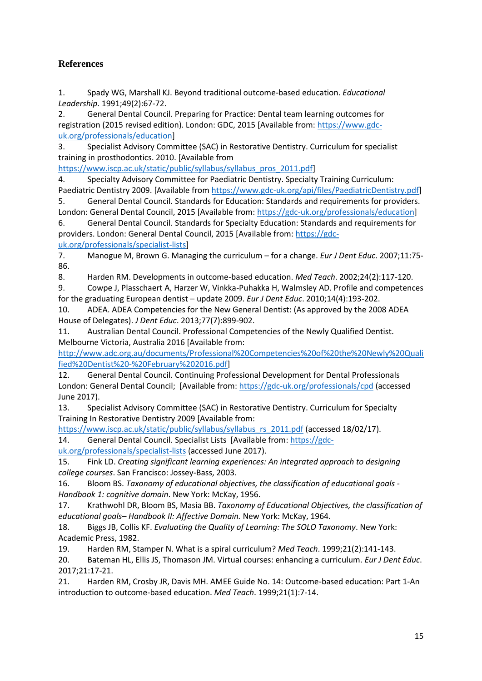# **References**

1. Spady WG, Marshall KJ. Beyond traditional outcome-based education. *Educational Leadership*. 1991;49(2):67-72.

2. General Dental Council. Preparing for Practice: Dental team learning outcomes for registration (2015 revised edition). London: GDC, 2015 [Available from: [https://www.gdc](https://www.gdc-uk.org/professionals/education)[uk.org/professionals/education\]](https://www.gdc-uk.org/professionals/education)

3. Specialist Advisory Committee (SAC) in Restorative Dentistry. Curriculum for specialist training in prosthodontics. 2010. [Available from

[https://www.iscp.ac.uk/static/public/syllabus/syllabus\\_pros\\_2011.pdf\]](https://www.iscp.ac.uk/static/public/syllabus/syllabus_pros_2011.pdf)

4. Specialty Advisory Committee for Paediatric Dentistry. Specialty Training Curriculum: Paediatric Dentistry 2009. [Available from [https://www.gdc-uk.org/api/files/PaediatricDentistry.pdf\]](https://www.gdc-uk.org/api/files/PaediatricDentistry.pdf)

5. General Dental Council. Standards for Education: Standards and requirements for providers. London: General Dental Council, 2015 [Available from[: https://gdc-uk.org/professionals/education\]](https://gdc-uk.org/professionals/education)

6. General Dental Council. Standards for Specialty Education: Standards and requirements for providers. London: General Dental Council, 2015 [Available from: [https://gdc-](https://gdc-uk.org/professionals/specialist-lists)

[uk.org/professionals/specialist-lists\]](https://gdc-uk.org/professionals/specialist-lists)

7. Manogue M, Brown G. Managing the curriculum – for a change. *Eur J Dent Educ*. 2007;11:75- 86.

8. Harden RM. Developments in outcome-based education. *Med Teach*. 2002;24(2):117-120.

9. Cowpe J, Plasschaert A, Harzer W, Vinkka-Puhakka H, Walmsley AD. Profile and competences for the graduating European dentist – update 2009. *Eur J Dent Educ*. 2010;14(4):193-202.

10. ADEA. ADEA Competencies for the New General Dentist: (As approved by the 2008 ADEA House of Delegates). *J Dent Educ*. 2013;77(7):899-902.

11. Australian Dental Council. Professional Competencies of the Newly Qualified Dentist. Melbourne Victoria, Australia 2016 [Available from:

[http://www.adc.org.au/documents/Professional%20Competencies%20of%20the%20Newly%20Quali](http://www.adc.org.au/documents/Professional%20Competencies%20of%20the%20Newly%20Qualified%20Dentist%20-%20February%202016.pdf) [fied%20Dentist%20-%20February%202016.pdf\]](http://www.adc.org.au/documents/Professional%20Competencies%20of%20the%20Newly%20Qualified%20Dentist%20-%20February%202016.pdf)

12. General Dental Council. Continuing Professional Development for Dental Professionals London: General Dental Council; [Available from[: https://gdc-uk.org/professionals/cpd](https://gdc-uk.org/professionals/cpd) (accessed June 2017).

13. Specialist Advisory Committee (SAC) in Restorative Dentistry. Curriculum for Specialty Training In Restorative Dentistry 2009 [Available from:

[https://www.iscp.ac.uk/static/public/syllabus/syllabus\\_rs\\_2011.pdf](https://www.iscp.ac.uk/static/public/syllabus/syllabus_rs_2011.pdf) (accessed 18/02/17).

14. General Dental Council. Specialist Lists [Available from[: https://gdc-](https://gdc-uk.org/professionals/specialist-lists)

[uk.org/professionals/specialist-lists](https://gdc-uk.org/professionals/specialist-lists) (accessed June 2017).

15. Fink LD. *Creating significant learning experiences: An integrated approach to designing college courses*. San Francisco: Jossey-Bass, 2003.

16. Bloom BS. *Taxonomy of educational objectives, the classification of educational goals - Handbook 1: cognitive domain*. New York: McKay, 1956.

17. Krathwohl DR, Bloom BS, Masia BB. *Taxonomy of Educational Objectives, the classification of educational goals– Handbook II: Affective Domain.* New York: McKay, 1964.

18. Biggs JB, Collis KF. *Evaluating the Quality of Learning: The SOLO Taxonomy*. New York: Academic Press, 1982.

19. Harden RM, Stamper N. What is a spiral curriculum? *Med Teach*. 1999;21(2):141-143.

20. Bateman HL, Ellis JS, Thomason JM. Virtual courses: enhancing a curriculum. *Eur J Dent Educ*. 2017;21:17-21.

21. Harden RM, Crosby JR, Davis MH. AMEE Guide No. 14: Outcome-based education: Part 1-An introduction to outcome-based education. *Med Teach*. 1999;21(1):7-14.